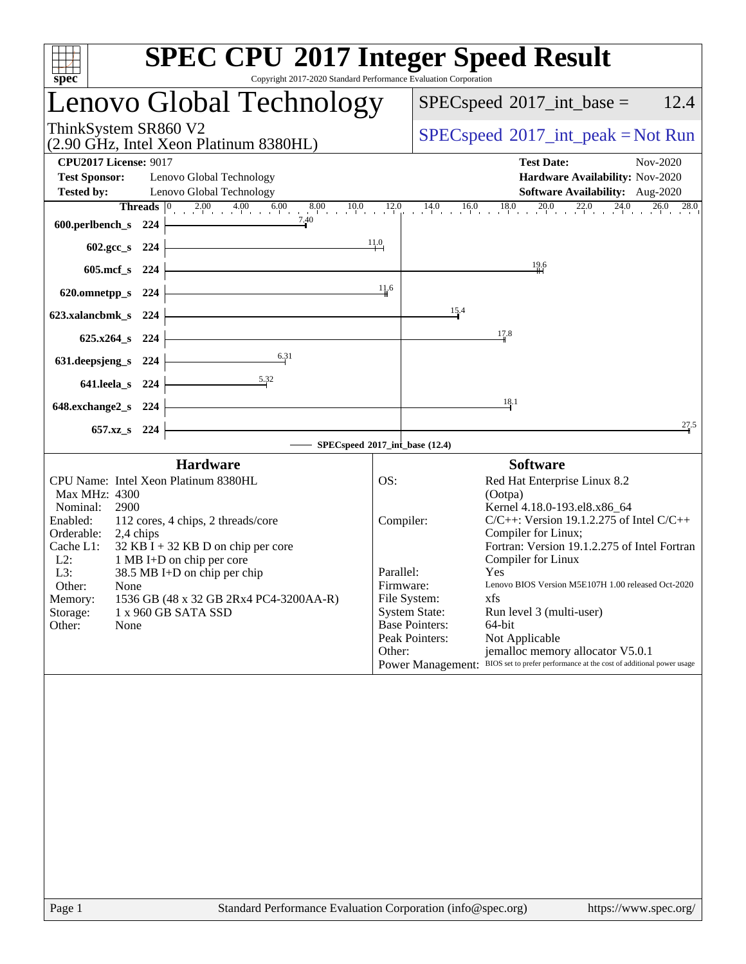| spec                                                                                                                                                              | Copyright 2017-2020 Standard Performance Evaluation Corporation                                                                                                                                                                                                                                                              | <b>SPEC CPU®2017 Integer Speed Result</b>                                                                                                                                                                                                                                                                                                                                                                                                                                                                                                                                                                                  |                                               |  |  |  |  |
|-------------------------------------------------------------------------------------------------------------------------------------------------------------------|------------------------------------------------------------------------------------------------------------------------------------------------------------------------------------------------------------------------------------------------------------------------------------------------------------------------------|----------------------------------------------------------------------------------------------------------------------------------------------------------------------------------------------------------------------------------------------------------------------------------------------------------------------------------------------------------------------------------------------------------------------------------------------------------------------------------------------------------------------------------------------------------------------------------------------------------------------------|-----------------------------------------------|--|--|--|--|
|                                                                                                                                                                   | Lenovo Global Technology                                                                                                                                                                                                                                                                                                     | $SPEC speed^{\circ}2017\_int\_base =$                                                                                                                                                                                                                                                                                                                                                                                                                                                                                                                                                                                      | 12.4                                          |  |  |  |  |
| ThinkSystem SR860 V2                                                                                                                                              | (2.90 GHz, Intel Xeon Platinum 8380HL)                                                                                                                                                                                                                                                                                       |                                                                                                                                                                                                                                                                                                                                                                                                                                                                                                                                                                                                                            | $SPEC speed^{\circ}2017\_int\_peak = Not Run$ |  |  |  |  |
| <b>CPU2017 License: 9017</b><br><b>Test Sponsor:</b><br><b>Tested by:</b>                                                                                         | Lenovo Global Technology<br>Lenovo Global Technology                                                                                                                                                                                                                                                                         | <b>Test Date:</b><br>Hardware Availability: Nov-2020<br>Software Availability: Aug-2020                                                                                                                                                                                                                                                                                                                                                                                                                                                                                                                                    | Nov-2020                                      |  |  |  |  |
| 600.perlbench_s 224                                                                                                                                               | <b>Threads</b> $\begin{bmatrix} 0 & 2.00 & 4.00 & 6.00 & 8.00 & 10.0 & 12.0 \\ 1 & 0 & 0 & 0 & 0 & 0 \\ 0 & 0 & 0 & 0 & 0 & 0 \\ 0 & 0 & 0 & 0 & 0 & 0 \\ 0 & 0 & 0 & 0 & 0 & 0 \\ 0 & 0 & 0 & 0 & 0 & 0 \\ 0 & 0 & 0 & 0 & 0 & 0 \\ 0 & 0 & 0 & 0 & 0 & 0 \\ 0 & 0 & 0 & 0 & 0 & 0 \\ 0 & 0 & 0 & 0 & 0 & 0 & 0 \\$<br>7.40 | $14.0$ $16.0$ $18.0$ $20.0$ $22.0$ $24.0$ $18.0$                                                                                                                                                                                                                                                                                                                                                                                                                                                                                                                                                                           | 26.0<br>28.0                                  |  |  |  |  |
| 602.gcc_s 224<br>605.mcf s 224                                                                                                                                    |                                                                                                                                                                                                                                                                                                                              | 11.0<br>$\frac{19.6}{4}$                                                                                                                                                                                                                                                                                                                                                                                                                                                                                                                                                                                                   |                                               |  |  |  |  |
| 620.omnetpp_s 224                                                                                                                                                 |                                                                                                                                                                                                                                                                                                                              | 11.6                                                                                                                                                                                                                                                                                                                                                                                                                                                                                                                                                                                                                       |                                               |  |  |  |  |
| 623.xalancbmk_s 224<br>625.x264_s 224                                                                                                                             |                                                                                                                                                                                                                                                                                                                              | 15.4<br>17.8                                                                                                                                                                                                                                                                                                                                                                                                                                                                                                                                                                                                               |                                               |  |  |  |  |
| 631.deepsjeng_s 224                                                                                                                                               | 6.31                                                                                                                                                                                                                                                                                                                         |                                                                                                                                                                                                                                                                                                                                                                                                                                                                                                                                                                                                                            |                                               |  |  |  |  |
| 641.leela_s 224<br>648.exchange2_s 224                                                                                                                            | 5.32                                                                                                                                                                                                                                                                                                                         | 18.1                                                                                                                                                                                                                                                                                                                                                                                                                                                                                                                                                                                                                       |                                               |  |  |  |  |
| 657.xz <sub>_8</sub> 224                                                                                                                                          |                                                                                                                                                                                                                                                                                                                              | SPECspeed®2017_int_base (12.4)                                                                                                                                                                                                                                                                                                                                                                                                                                                                                                                                                                                             | 27.5                                          |  |  |  |  |
|                                                                                                                                                                   | <b>Hardware</b>                                                                                                                                                                                                                                                                                                              | <b>Software</b>                                                                                                                                                                                                                                                                                                                                                                                                                                                                                                                                                                                                            |                                               |  |  |  |  |
| Max MHz: 4300<br>2900<br>Nominal:<br>Enabled:<br>Orderable:<br>2,4 chips<br>Cache L1:<br>$L2$ :<br>L3:<br>Other:<br>None<br>Memory:<br>Storage:<br>Other:<br>None | CPU Name: Intel Xeon Platinum 8380HL<br>112 cores, 4 chips, 2 threads/core<br>$32$ KB I + 32 KB D on chip per core<br>1 MB I+D on chip per core<br>38.5 MB I+D on chip per chip<br>1536 GB (48 x 32 GB 2Rx4 PC4-3200AA-R)<br>1 x 960 GB SATA SSD                                                                             | OS:<br>Red Hat Enterprise Linux 8.2<br>(Ootpa)<br>Kernel 4.18.0-193.el8.x86 64<br>Compiler:<br>$C/C++$ : Version 19.1.2.275 of Intel $C/C++$<br>Compiler for Linux;<br>Fortran: Version 19.1.2.275 of Intel Fortran<br>Compiler for Linux<br>Parallel:<br>Yes<br>Lenovo BIOS Version M5E107H 1.00 released Oct-2020<br>Firmware:<br>File System:<br>xfs<br><b>System State:</b><br>Run level 3 (multi-user)<br><b>Base Pointers:</b><br>64-bit<br>Peak Pointers:<br>Not Applicable<br>jemalloc memory allocator V5.0.1<br>Other:<br>Power Management: BIOS set to prefer performance at the cost of additional power usage |                                               |  |  |  |  |
|                                                                                                                                                                   |                                                                                                                                                                                                                                                                                                                              |                                                                                                                                                                                                                                                                                                                                                                                                                                                                                                                                                                                                                            |                                               |  |  |  |  |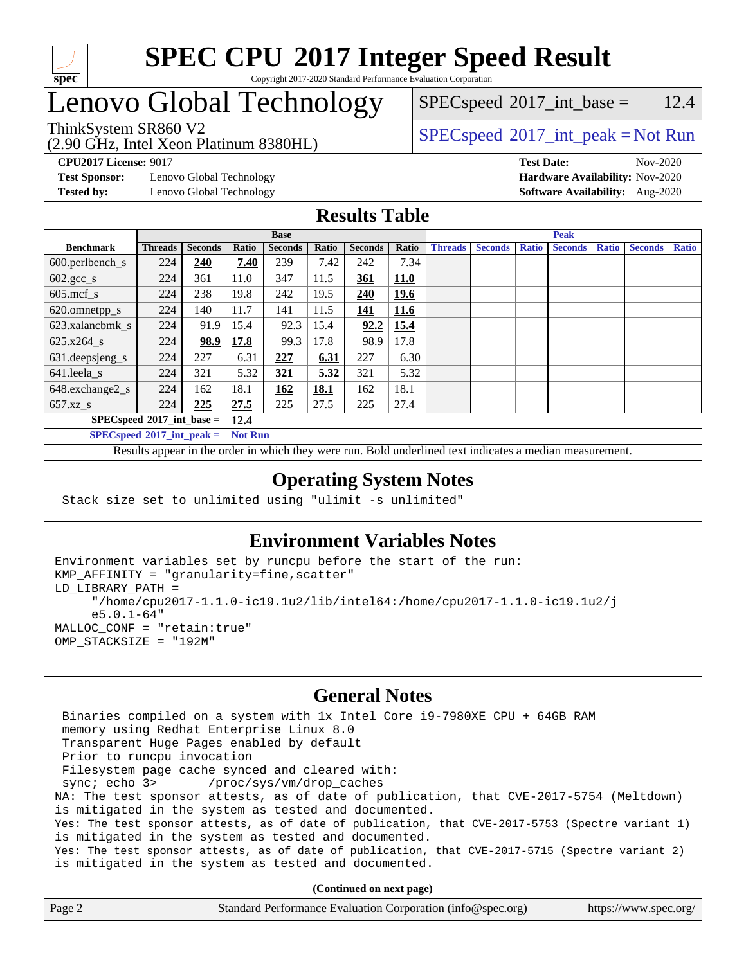

## Lenovo Global Technology

(2.90 GHz, Intel Xeon Platinum 8380HL)

 $SPEC speed^{\circ}2017\_int\_base = 12.4$ 

### ThinkSystem SR860 V2  $\begin{array}{c} \text{SPEC speed} \textdegree 2017\_int\_peak = Not Run \end{array}$

**[Test Sponsor:](http://www.spec.org/auto/cpu2017/Docs/result-fields.html#TestSponsor)** Lenovo Global Technology **[Hardware Availability:](http://www.spec.org/auto/cpu2017/Docs/result-fields.html#HardwareAvailability)** Nov-2020

**[CPU2017 License:](http://www.spec.org/auto/cpu2017/Docs/result-fields.html#CPU2017License)** 9017 **[Test Date:](http://www.spec.org/auto/cpu2017/Docs/result-fields.html#TestDate)** Nov-2020 **[Tested by:](http://www.spec.org/auto/cpu2017/Docs/result-fields.html#Testedby)** Lenovo Global Technology **[Software Availability:](http://www.spec.org/auto/cpu2017/Docs/result-fields.html#SoftwareAvailability)** Aug-2020

#### **[Results Table](http://www.spec.org/auto/cpu2017/Docs/result-fields.html#ResultsTable)**

|                               | <b>Base</b>    |                |       |                | <b>Peak</b> |                |             |                |                |              |                |              |                |              |
|-------------------------------|----------------|----------------|-------|----------------|-------------|----------------|-------------|----------------|----------------|--------------|----------------|--------------|----------------|--------------|
| <b>Benchmark</b>              | <b>Threads</b> | <b>Seconds</b> | Ratio | <b>Seconds</b> | Ratio       | <b>Seconds</b> | Ratio       | <b>Threads</b> | <b>Seconds</b> | <b>Ratio</b> | <b>Seconds</b> | <b>Ratio</b> | <b>Seconds</b> | <b>Ratio</b> |
| $600.$ perlbench $\mathsf{S}$ | 224            | <b>240</b>     | 7.40  | 239            | 7.42        | 242            | 7.34        |                |                |              |                |              |                |              |
| $602.\text{gcc}\_\text{s}$    | 224            | 361            | 11.0  | 347            | 11.5        | 361            | <b>11.0</b> |                |                |              |                |              |                |              |
| $605$ .mcf s                  | 224            | 238            | 19.8  | 242            | 19.5        | 240            | 19.6        |                |                |              |                |              |                |              |
| 620.omnetpp_s                 | 224            | 140            | 11.7  | 141            | 11.5        | 141            | 11.6        |                |                |              |                |              |                |              |
| 623.xalancbmk s               | 224            | 91.9           | 15.4  | 92.3           | 15.4        | 92.2           | 15.4        |                |                |              |                |              |                |              |
| $625.x264$ s                  | 224            | 98.9           | 17.8  | 99.3           | 17.8        | 98.9           | 17.8        |                |                |              |                |              |                |              |
| 631.deepsjeng_s               | 224            | 227            | 6.31  | 227            | 6.31        | 227            | 6.30        |                |                |              |                |              |                |              |
| 641.leela s                   | 224            | 321            | 5.32  | 321            | 5.32        | 321            | 5.32        |                |                |              |                |              |                |              |
| 648.exchange2_s               | 224            | 162            | 18.1  | 162            | 18.1        | 162            | 18.1        |                |                |              |                |              |                |              |
| $657.xz$ <sub>S</sub>         | 224            | 225            | 27.5  | 225            | 27.5        | 225            | 27.4        |                |                |              |                |              |                |              |
| $SPECspeed*2017$ int base =   |                |                | 12.4  |                |             |                |             |                |                |              |                |              |                |              |

**[SPECspeed](http://www.spec.org/auto/cpu2017/Docs/result-fields.html#SPECspeed2017intpeak)[2017\\_int\\_peak =](http://www.spec.org/auto/cpu2017/Docs/result-fields.html#SPECspeed2017intpeak) Not Run**

Results appear in the [order in which they were run.](http://www.spec.org/auto/cpu2017/Docs/result-fields.html#RunOrder) Bold underlined text [indicates a median measurement.](http://www.spec.org/auto/cpu2017/Docs/result-fields.html#Median)

#### **[Operating System Notes](http://www.spec.org/auto/cpu2017/Docs/result-fields.html#OperatingSystemNotes)**

Stack size set to unlimited using "ulimit -s unlimited"

#### **[Environment Variables Notes](http://www.spec.org/auto/cpu2017/Docs/result-fields.html#EnvironmentVariablesNotes)**

```
Environment variables set by runcpu before the start of the run:
KMP_AFFINITY = "granularity=fine,scatter"
LD_LIBRARY_PATH =
      "/home/cpu2017-1.1.0-ic19.1u2/lib/intel64:/home/cpu2017-1.1.0-ic19.1u2/j
      e5.0.1-64"
MALLOC_CONF = "retain:true"
OMP_STACKSIZE = "192M"
```
#### **[General Notes](http://www.spec.org/auto/cpu2017/Docs/result-fields.html#GeneralNotes)**

 Binaries compiled on a system with 1x Intel Core i9-7980XE CPU + 64GB RAM memory using Redhat Enterprise Linux 8.0 Transparent Huge Pages enabled by default Prior to runcpu invocation Filesystem page cache synced and cleared with: sync; echo 3> /proc/sys/vm/drop\_caches NA: The test sponsor attests, as of date of publication, that CVE-2017-5754 (Meltdown) is mitigated in the system as tested and documented. Yes: The test sponsor attests, as of date of publication, that CVE-2017-5753 (Spectre variant 1) is mitigated in the system as tested and documented. Yes: The test sponsor attests, as of date of publication, that CVE-2017-5715 (Spectre variant 2) is mitigated in the system as tested and documented.

**(Continued on next page)**

| Page 2 | Standard Performance Evaluation Corporation (info@spec.org) | https://www.spec.org/ |
|--------|-------------------------------------------------------------|-----------------------|
|--------|-------------------------------------------------------------|-----------------------|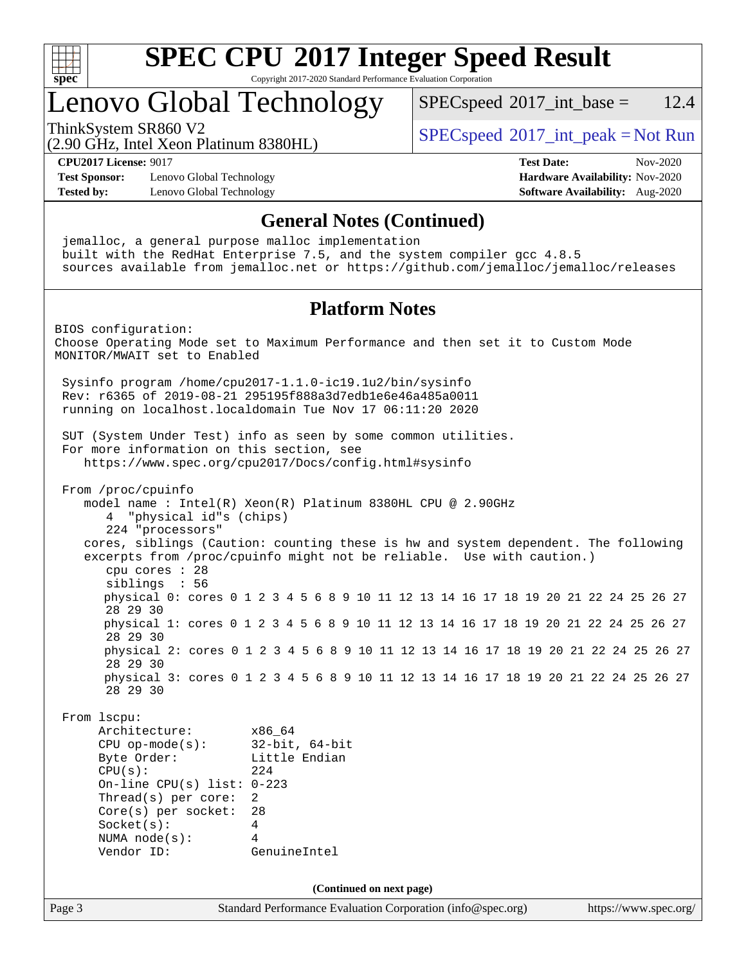

### Lenovo Global Technology

 $SPECspeed^{\circ}2017\_int\_base = 12.4$  $SPECspeed^{\circ}2017\_int\_base = 12.4$ 

(2.90 GHz, Intel Xeon Platinum 8380HL)

ThinkSystem SR860 V2  $\begin{array}{c} \text{SPEC speed} \textdegree 2017\_int\_peak = Not Run \end{array}$ 

**[CPU2017 License:](http://www.spec.org/auto/cpu2017/Docs/result-fields.html#CPU2017License)** 9017 **[Test Date:](http://www.spec.org/auto/cpu2017/Docs/result-fields.html#TestDate)** Nov-2020

**[Test Sponsor:](http://www.spec.org/auto/cpu2017/Docs/result-fields.html#TestSponsor)** Lenovo Global Technology **[Hardware Availability:](http://www.spec.org/auto/cpu2017/Docs/result-fields.html#HardwareAvailability)** Nov-2020 **[Tested by:](http://www.spec.org/auto/cpu2017/Docs/result-fields.html#Testedby)** Lenovo Global Technology **[Software Availability:](http://www.spec.org/auto/cpu2017/Docs/result-fields.html#SoftwareAvailability)** Aug-2020

#### **[General Notes \(Continued\)](http://www.spec.org/auto/cpu2017/Docs/result-fields.html#GeneralNotes)**

 jemalloc, a general purpose malloc implementation built with the RedHat Enterprise 7.5, and the system compiler gcc 4.8.5 sources available from jemalloc.net or <https://github.com/jemalloc/jemalloc/releases>

#### **[Platform Notes](http://www.spec.org/auto/cpu2017/Docs/result-fields.html#PlatformNotes)**

Page 3 Standard Performance Evaluation Corporation [\(info@spec.org\)](mailto:info@spec.org) <https://www.spec.org/> BIOS configuration: Choose Operating Mode set to Maximum Performance and then set it to Custom Mode MONITOR/MWAIT set to Enabled Sysinfo program /home/cpu2017-1.1.0-ic19.1u2/bin/sysinfo Rev: r6365 of 2019-08-21 295195f888a3d7edb1e6e46a485a0011 running on localhost.localdomain Tue Nov 17 06:11:20 2020 SUT (System Under Test) info as seen by some common utilities. For more information on this section, see <https://www.spec.org/cpu2017/Docs/config.html#sysinfo> From /proc/cpuinfo model name : Intel(R) Xeon(R) Platinum 8380HL CPU @ 2.90GHz 4 "physical id"s (chips) 224 "processors" cores, siblings (Caution: counting these is hw and system dependent. The following excerpts from /proc/cpuinfo might not be reliable. Use with caution.) cpu cores : 28 siblings : 56 physical 0: cores 0 1 2 3 4 5 6 8 9 10 11 12 13 14 16 17 18 19 20 21 22 24 25 26 27 28 29 30 physical 1: cores 0 1 2 3 4 5 6 8 9 10 11 12 13 14 16 17 18 19 20 21 22 24 25 26 27 28 29 30 physical 2: cores 0 1 2 3 4 5 6 8 9 10 11 12 13 14 16 17 18 19 20 21 22 24 25 26 27 28 29 30 physical 3: cores 0 1 2 3 4 5 6 8 9 10 11 12 13 14 16 17 18 19 20 21 22 24 25 26 27 28 29 30 From lscpu: Architecture: x86\_64 CPU op-mode(s): 32-bit, 64-bit Byte Order: Little Endian  $CPU(s):$  224 On-line CPU(s) list: 0-223 Thread(s) per core: 2 Core(s) per socket: 28 Socket(s): 4 NUMA node(s): 4 Vendor ID: GenuineIntel **(Continued on next page)**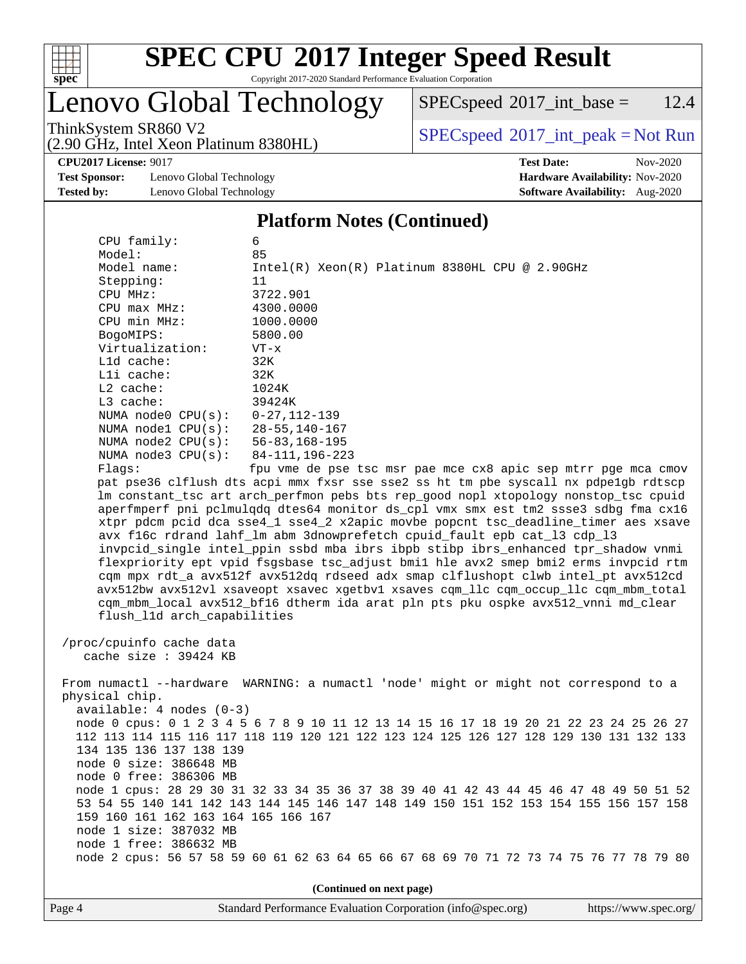

# Lenovo Global Technology

(2.90 GHz, Intel Xeon Platinum 8380HL)

 $SPECspeed^{\circledcirc}2017\_int\_base = 12.4$  $SPECspeed^{\circledcirc}2017\_int\_base = 12.4$ 

ThinkSystem SR860 V2<br>  $\begin{array}{c} \text{SPEC speed} \textdegree 2017\_int\_peak = Not Run \end{array}$ 

**[Test Sponsor:](http://www.spec.org/auto/cpu2017/Docs/result-fields.html#TestSponsor)** Lenovo Global Technology **[Hardware Availability:](http://www.spec.org/auto/cpu2017/Docs/result-fields.html#HardwareAvailability)** Nov-2020 **[Tested by:](http://www.spec.org/auto/cpu2017/Docs/result-fields.html#Testedby)** Lenovo Global Technology **[Software Availability:](http://www.spec.org/auto/cpu2017/Docs/result-fields.html#SoftwareAvailability)** Aug-2020

**[CPU2017 License:](http://www.spec.org/auto/cpu2017/Docs/result-fields.html#CPU2017License)** 9017 **[Test Date:](http://www.spec.org/auto/cpu2017/Docs/result-fields.html#TestDate)** Nov-2020

#### **[Platform Notes \(Continued\)](http://www.spec.org/auto/cpu2017/Docs/result-fields.html#PlatformNotes)**

| CPU family:                         | 6                                                                                       |
|-------------------------------------|-----------------------------------------------------------------------------------------|
| Model:                              | 85                                                                                      |
| Model name:                         | $Intel(R)$ Xeon $(R)$ Platinum 8380HL CPU @ 2.90GHz                                     |
| Stepping:                           | 11                                                                                      |
| CPU MHz:                            | 3722.901                                                                                |
| $CPU$ max $MHz$ :                   | 4300.0000                                                                               |
| CPU min MHz:                        | 1000.0000                                                                               |
| BogoMIPS:                           | 5800.00                                                                                 |
| Virtualization:                     | $VT - x$                                                                                |
| L1d cache:                          | 32K                                                                                     |
| Lli cache:                          | 32K                                                                                     |
| $L2$ cache:                         | 1024K                                                                                   |
| $L3$ cache:                         | 39424K                                                                                  |
| NUMA $node0$ $CPU(s):$              | $0 - 27, 112 - 139$                                                                     |
| NUMA node1 CPU(s):                  | 28-55,140-167                                                                           |
| NUMA node2 CPU(s):                  | 56-83,168-195                                                                           |
| NUMA node3 CPU(s):                  | 84-111, 196-223                                                                         |
| Flaqs:                              | fpu vme de pse tsc msr pae mce cx8 apic sep mtrr pge mca cmov                           |
|                                     | pat pse36 clflush dts acpi mmx fxsr sse sse2 ss ht tm pbe syscall nx pdpelgb rdtscp     |
|                                     | lm constant_tsc art arch_perfmon pebs bts rep_good nopl xtopology nonstop_tsc cpuid     |
|                                     | aperfmperf pni pclmulqdq dtes64 monitor ds_cpl vmx smx est tm2 ssse3 sdbg fma cx16      |
|                                     | xtpr pdcm pcid dca sse4_1 sse4_2 x2apic movbe popcnt tsc_deadline_timer aes xsave       |
|                                     | avx f16c rdrand lahf_lm abm 3dnowprefetch cpuid_fault epb cat_13 cdp_13                 |
|                                     | invpcid_single intel_ppin ssbd mba ibrs ibpb stibp ibrs_enhanced tpr_shadow vnmi        |
|                                     | flexpriority ept vpid fsgsbase tsc_adjust bmil hle avx2 smep bmi2 erms invpcid rtm      |
|                                     | cqm mpx rdt_a avx512f avx512dq rdseed adx smap clflushopt clwb intel_pt avx512cd        |
|                                     | avx512bw avx512vl xsaveopt xsavec xgetbvl xsaves cgm_llc cgm_occup_llc cgm_mbm_total    |
|                                     | cqm_mbm_local avx512_bf16 dtherm ida arat pln pts pku ospke avx512_vnni md_clear        |
| flush_11d arch_capabilities         |                                                                                         |
|                                     |                                                                                         |
| /proc/cpuinfo cache data            |                                                                                         |
| cache size $: 39424$ KB             |                                                                                         |
|                                     |                                                                                         |
|                                     | From numactl --hardware WARNING: a numactl 'node' might or might not correspond to a    |
| physical chip.                      |                                                                                         |
| $available: 4 nodes (0-3)$          |                                                                                         |
|                                     | node 0 cpus: 0 1 2 3 4 5 6 7 8 9 10 11 12 13 14 15 16 17 18 19 20 21 22 23 24 25 26 27  |
|                                     | 112 113 114 115 116 117 118 119 120 121 122 123 124 125 126 127 128 129 130 131 132 133 |
| 134 135 136 137 138 139             |                                                                                         |
| node 0 size: 386648 MB              |                                                                                         |
| node 0 free: 386306 MB              |                                                                                         |
|                                     | node 1 cpus: 28 29 30 31 32 33 34 35 36 37 38 39 40 41 42 43 44 45 46 47 48 49 50 51 52 |
|                                     | 53 54 55 140 141 142 143 144 145 146 147 148 149 150 151 152 153 154 155 156 157 158    |
| 159 160 161 162 163 164 165 166 167 |                                                                                         |
| node 1 size: 387032 MB              |                                                                                         |
| node 1 free: 386632 MB              |                                                                                         |

node 2 cpus: 56 57 58 59 60 61 62 63 64 65 66 67 68 69 70 71 72 73 74 75 76 77 78 79 80

**(Continued on next page)**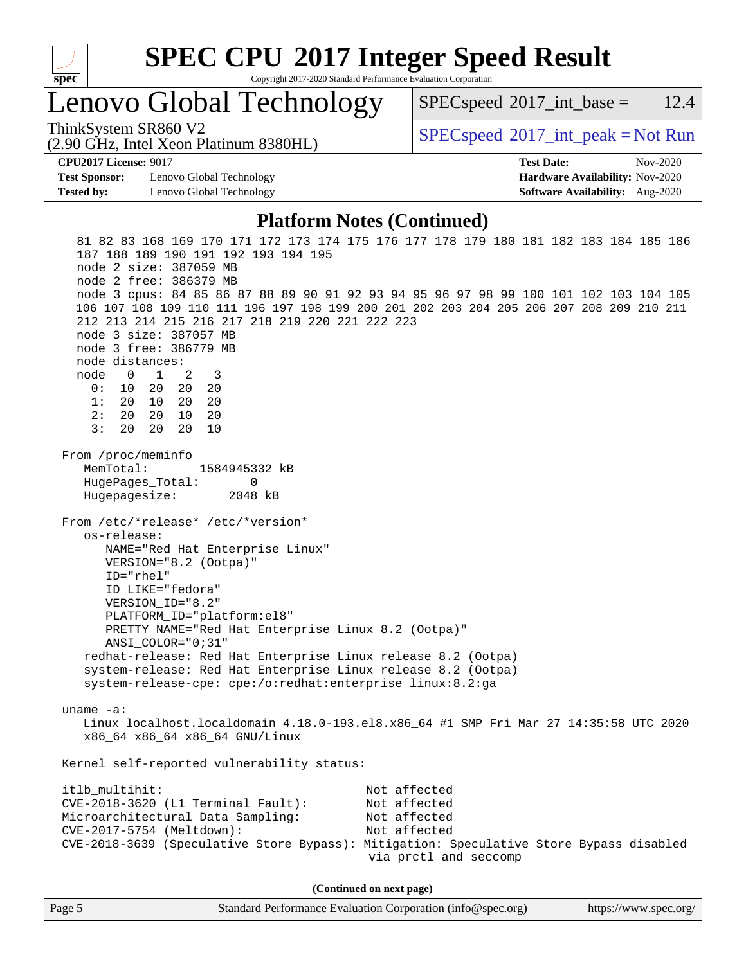

# **[SPEC CPU](http://www.spec.org/auto/cpu2017/Docs/result-fields.html#SPECCPU2017IntegerSpeedResult)[2017 Integer Speed Result](http://www.spec.org/auto/cpu2017/Docs/result-fields.html#SPECCPU2017IntegerSpeedResult)**

Copyright 2017-2020 Standard Performance Evaluation Corporation

## Lenovo Global Technology

 $SPECspeed^{\circ}2017\_int\_base = 12.4$  $SPECspeed^{\circ}2017\_int\_base = 12.4$ 

(2.90 GHz, Intel Xeon Platinum 8380HL)

ThinkSystem SR860 V2  $\begin{array}{c} \text{SPEC speed} \textdegree 2017\_int\_peak = Not Run \end{array}$ 

**[CPU2017 License:](http://www.spec.org/auto/cpu2017/Docs/result-fields.html#CPU2017License)** 9017 **[Test Date:](http://www.spec.org/auto/cpu2017/Docs/result-fields.html#TestDate)** Nov-2020

**[Test Sponsor:](http://www.spec.org/auto/cpu2017/Docs/result-fields.html#TestSponsor)** Lenovo Global Technology **[Hardware Availability:](http://www.spec.org/auto/cpu2017/Docs/result-fields.html#HardwareAvailability)** Nov-2020 **[Tested by:](http://www.spec.org/auto/cpu2017/Docs/result-fields.html#Testedby)** Lenovo Global Technology **[Software Availability:](http://www.spec.org/auto/cpu2017/Docs/result-fields.html#SoftwareAvailability)** Aug-2020

#### **[Platform Notes \(Continued\)](http://www.spec.org/auto/cpu2017/Docs/result-fields.html#PlatformNotes)**

 81 82 83 168 169 170 171 172 173 174 175 176 177 178 179 180 181 182 183 184 185 186 187 188 189 190 191 192 193 194 195 node 2 size: 387059 MB node 2 free: 386379 MB node 3 cpus: 84 85 86 87 88 89 90 91 92 93 94 95 96 97 98 99 100 101 102 103 104 105 106 107 108 109 110 111 196 197 198 199 200 201 202 203 204 205 206 207 208 209 210 211 212 213 214 215 216 217 218 219 220 221 222 223 node 3 size: 387057 MB node 3 free: 386779 MB node distances: node 0 1 2 3 0: 10 20 20 20 1: 20 10 20 20 2: 20 20 10 20 3: 20 20 20 10 From /proc/meminfo MemTotal: 1584945332 kB HugePages\_Total: 0 Hugepagesize: 2048 kB From /etc/\*release\* /etc/\*version\* os-release: NAME="Red Hat Enterprise Linux" VERSION="8.2 (Ootpa)" ID="rhel" ID\_LIKE="fedora" VERSION\_ID="8.2" PLATFORM\_ID="platform:el8" PRETTY\_NAME="Red Hat Enterprise Linux 8.2 (Ootpa)" ANSI\_COLOR="0;31" redhat-release: Red Hat Enterprise Linux release 8.2 (Ootpa) system-release: Red Hat Enterprise Linux release 8.2 (Ootpa) system-release-cpe: cpe:/o:redhat:enterprise\_linux:8.2:ga uname -a: Linux localhost.localdomain 4.18.0-193.el8.x86\_64 #1 SMP Fri Mar 27 14:35:58 UTC 2020 x86\_64 x86\_64 x86\_64 GNU/Linux Kernel self-reported vulnerability status: itlb multihit: Not affected CVE-2018-3620 (L1 Terminal Fault): Not affected Microarchitectural Data Sampling: Not affected CVE-2017-5754 (Meltdown): Not affected CVE-2018-3639 (Speculative Store Bypass): Mitigation: Speculative Store Bypass disabled via prctl and seccomp **(Continued on next page)**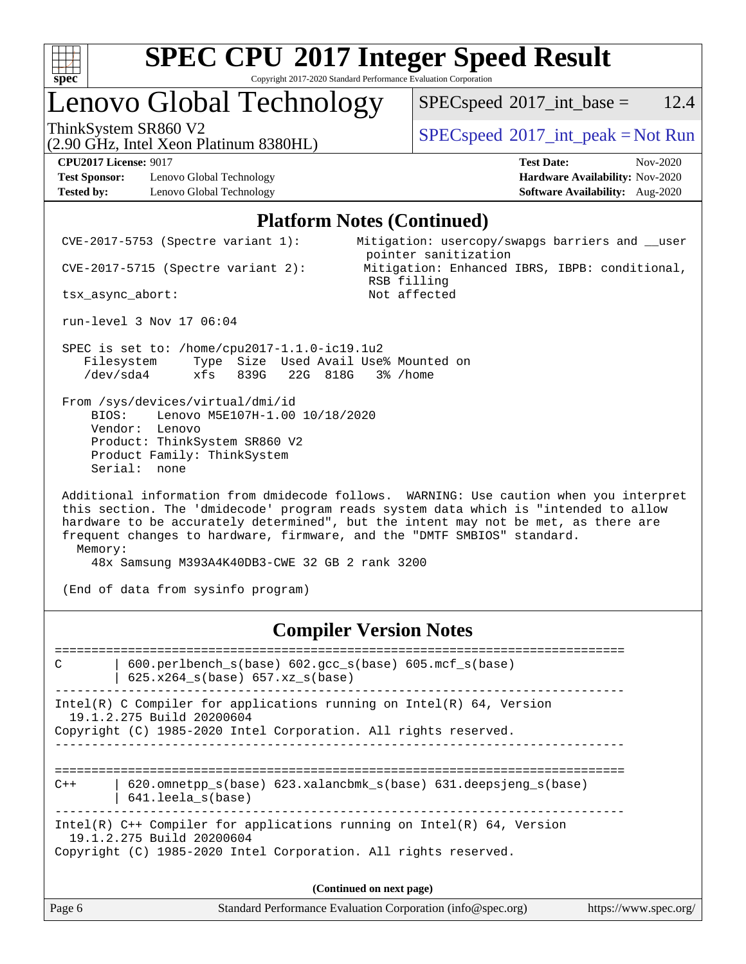

### Lenovo Global Technology

(2.90 GHz, Intel Xeon Platinum 8380HL)

 $SPECspeed^{\circ}2017\_int\_base = 12.4$  $SPECspeed^{\circ}2017\_int\_base = 12.4$ 

ThinkSystem SR860 V2  $\begin{array}{c} \text{SPEC speed} \textdegree 2017\_int\_peak = Not Run \end{array}$ 

**[Test Sponsor:](http://www.spec.org/auto/cpu2017/Docs/result-fields.html#TestSponsor)** Lenovo Global Technology **[Hardware Availability:](http://www.spec.org/auto/cpu2017/Docs/result-fields.html#HardwareAvailability)** Nov-2020 **[Tested by:](http://www.spec.org/auto/cpu2017/Docs/result-fields.html#Testedby)** Lenovo Global Technology **[Software Availability:](http://www.spec.org/auto/cpu2017/Docs/result-fields.html#SoftwareAvailability)** Aug-2020

**[CPU2017 License:](http://www.spec.org/auto/cpu2017/Docs/result-fields.html#CPU2017License)** 9017 **[Test Date:](http://www.spec.org/auto/cpu2017/Docs/result-fields.html#TestDate)** Nov-2020

#### **[Platform Notes \(Continued\)](http://www.spec.org/auto/cpu2017/Docs/result-fields.html#PlatformNotes)**

 CVE-2017-5753 (Spectre variant 1): Mitigation: usercopy/swapgs barriers and \_\_user pointer sanitization CVE-2017-5715 (Spectre variant 2): Mitigation: Enhanced IBRS, IBPB: conditional, RSB filling tsx\_async\_abort: Not affected run-level 3 Nov 17 06:04 SPEC is set to: /home/cpu2017-1.1.0-ic19.1u2 Filesystem Type Size Used Avail Use% Mounted on /dev/sda4 xfs 839G 22G 818G 3% /home From /sys/devices/virtual/dmi/id BIOS: Lenovo M5E107H-1.00 10/18/2020 Vendor: Lenovo Product: ThinkSystem SR860 V2 Product Family: ThinkSystem Serial: none Additional information from dmidecode follows. WARNING: Use caution when you interpret this section. The 'dmidecode' program reads system data which is "intended to allow hardware to be accurately determined", but the intent may not be met, as there are

 frequent changes to hardware, firmware, and the "DMTF SMBIOS" standard. Memory:

48x Samsung M393A4K40DB3-CWE 32 GB 2 rank 3200

(End of data from sysinfo program)

#### **[Compiler Version Notes](http://www.spec.org/auto/cpu2017/Docs/result-fields.html#CompilerVersionNotes)**

Page 6 Standard Performance Evaluation Corporation [\(info@spec.org\)](mailto:info@spec.org) <https://www.spec.org/> ============================================================================== C | 600.perlbench\_s(base) 602.gcc\_s(base) 605.mcf\_s(base) | 625.x264\_s(base) 657.xz\_s(base) ------------------------------------------------------------------------------ Intel(R) C Compiler for applications running on  $Intel(R) 64$ , Version 19.1.2.275 Build 20200604 Copyright (C) 1985-2020 Intel Corporation. All rights reserved. ------------------------------------------------------------------------------ ============================================================================== C++ | 620.omnetpp\_s(base) 623.xalancbmk\_s(base) 631.deepsjeng\_s(base) | 641.leela\_s(base) ------------------------------------------------------------------------------ Intel(R) C++ Compiler for applications running on Intel(R) 64, Version 19.1.2.275 Build 20200604 Copyright (C) 1985-2020 Intel Corporation. All rights reserved. **(Continued on next page)**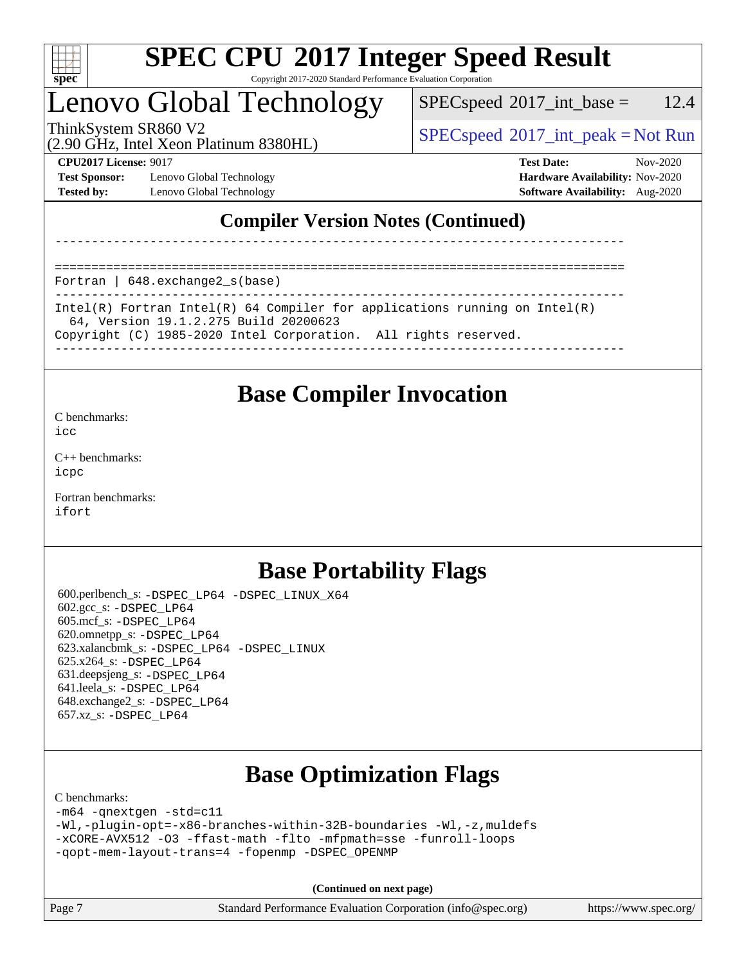

### Lenovo Global Technology

 $SPECspeed^{\circ}2017\_int\_base = 12.4$  $SPECspeed^{\circ}2017\_int\_base = 12.4$ 

(2.90 GHz, Intel Xeon Platinum 8380HL)

ThinkSystem SR860 V2  $\begin{array}{c} \text{SPEC speed} \textdegree 2017\_int\_peak = Not Run \end{array}$ 

**[Test Sponsor:](http://www.spec.org/auto/cpu2017/Docs/result-fields.html#TestSponsor)** Lenovo Global Technology **[Hardware Availability:](http://www.spec.org/auto/cpu2017/Docs/result-fields.html#HardwareAvailability)** Nov-2020 **[Tested by:](http://www.spec.org/auto/cpu2017/Docs/result-fields.html#Testedby)** Lenovo Global Technology **[Software Availability:](http://www.spec.org/auto/cpu2017/Docs/result-fields.html#SoftwareAvailability)** Aug-2020

**[CPU2017 License:](http://www.spec.org/auto/cpu2017/Docs/result-fields.html#CPU2017License)** 9017 **[Test Date:](http://www.spec.org/auto/cpu2017/Docs/result-fields.html#TestDate)** Nov-2020

#### **[Compiler Version Notes \(Continued\)](http://www.spec.org/auto/cpu2017/Docs/result-fields.html#CompilerVersionNotes)**

==============================================================================

Fortran | 648.exchange2\_s(base)

------------------------------------------------------------------------------ Intel(R) Fortran Intel(R) 64 Compiler for applications running on Intel(R) 64, Version 19.1.2.275 Build 20200623 Copyright (C) 1985-2020 Intel Corporation. All rights reserved.

------------------------------------------------------------------------------

------------------------------------------------------------------------------

### **[Base Compiler Invocation](http://www.spec.org/auto/cpu2017/Docs/result-fields.html#BaseCompilerInvocation)**

[C benchmarks](http://www.spec.org/auto/cpu2017/Docs/result-fields.html#Cbenchmarks):

[icc](http://www.spec.org/cpu2017/results/res2020q4/cpu2017-20201123-24482.flags.html#user_CCbase_intel_icc_66fc1ee009f7361af1fbd72ca7dcefbb700085f36577c54f309893dd4ec40d12360134090235512931783d35fd58c0460139e722d5067c5574d8eaf2b3e37e92)

[C++ benchmarks:](http://www.spec.org/auto/cpu2017/Docs/result-fields.html#CXXbenchmarks) [icpc](http://www.spec.org/cpu2017/results/res2020q4/cpu2017-20201123-24482.flags.html#user_CXXbase_intel_icpc_c510b6838c7f56d33e37e94d029a35b4a7bccf4766a728ee175e80a419847e808290a9b78be685c44ab727ea267ec2f070ec5dc83b407c0218cded6866a35d07)

[Fortran benchmarks](http://www.spec.org/auto/cpu2017/Docs/result-fields.html#Fortranbenchmarks): [ifort](http://www.spec.org/cpu2017/results/res2020q4/cpu2017-20201123-24482.flags.html#user_FCbase_intel_ifort_8111460550e3ca792625aed983ce982f94888b8b503583aa7ba2b8303487b4d8a21a13e7191a45c5fd58ff318f48f9492884d4413fa793fd88dd292cad7027ca)

### **[Base Portability Flags](http://www.spec.org/auto/cpu2017/Docs/result-fields.html#BasePortabilityFlags)**

 600.perlbench\_s: [-DSPEC\\_LP64](http://www.spec.org/cpu2017/results/res2020q4/cpu2017-20201123-24482.flags.html#b600.perlbench_s_basePORTABILITY_DSPEC_LP64) [-DSPEC\\_LINUX\\_X64](http://www.spec.org/cpu2017/results/res2020q4/cpu2017-20201123-24482.flags.html#b600.perlbench_s_baseCPORTABILITY_DSPEC_LINUX_X64) 602.gcc\_s: [-DSPEC\\_LP64](http://www.spec.org/cpu2017/results/res2020q4/cpu2017-20201123-24482.flags.html#suite_basePORTABILITY602_gcc_s_DSPEC_LP64) 605.mcf\_s: [-DSPEC\\_LP64](http://www.spec.org/cpu2017/results/res2020q4/cpu2017-20201123-24482.flags.html#suite_basePORTABILITY605_mcf_s_DSPEC_LP64) 620.omnetpp\_s: [-DSPEC\\_LP64](http://www.spec.org/cpu2017/results/res2020q4/cpu2017-20201123-24482.flags.html#suite_basePORTABILITY620_omnetpp_s_DSPEC_LP64) 623.xalancbmk\_s: [-DSPEC\\_LP64](http://www.spec.org/cpu2017/results/res2020q4/cpu2017-20201123-24482.flags.html#suite_basePORTABILITY623_xalancbmk_s_DSPEC_LP64) [-DSPEC\\_LINUX](http://www.spec.org/cpu2017/results/res2020q4/cpu2017-20201123-24482.flags.html#b623.xalancbmk_s_baseCXXPORTABILITY_DSPEC_LINUX) 625.x264\_s: [-DSPEC\\_LP64](http://www.spec.org/cpu2017/results/res2020q4/cpu2017-20201123-24482.flags.html#suite_basePORTABILITY625_x264_s_DSPEC_LP64) 631.deepsjeng\_s: [-DSPEC\\_LP64](http://www.spec.org/cpu2017/results/res2020q4/cpu2017-20201123-24482.flags.html#suite_basePORTABILITY631_deepsjeng_s_DSPEC_LP64) 641.leela\_s: [-DSPEC\\_LP64](http://www.spec.org/cpu2017/results/res2020q4/cpu2017-20201123-24482.flags.html#suite_basePORTABILITY641_leela_s_DSPEC_LP64) 648.exchange2\_s: [-DSPEC\\_LP64](http://www.spec.org/cpu2017/results/res2020q4/cpu2017-20201123-24482.flags.html#suite_basePORTABILITY648_exchange2_s_DSPEC_LP64) 657.xz\_s: [-DSPEC\\_LP64](http://www.spec.org/cpu2017/results/res2020q4/cpu2017-20201123-24482.flags.html#suite_basePORTABILITY657_xz_s_DSPEC_LP64)

## **[Base Optimization Flags](http://www.spec.org/auto/cpu2017/Docs/result-fields.html#BaseOptimizationFlags)**

[C benchmarks](http://www.spec.org/auto/cpu2017/Docs/result-fields.html#Cbenchmarks):

[-m64](http://www.spec.org/cpu2017/results/res2020q4/cpu2017-20201123-24482.flags.html#user_CCbase_m64-icc) [-qnextgen](http://www.spec.org/cpu2017/results/res2020q4/cpu2017-20201123-24482.flags.html#user_CCbase_f-qnextgen) [-std=c11](http://www.spec.org/cpu2017/results/res2020q4/cpu2017-20201123-24482.flags.html#user_CCbase_std-icc-std_0e1c27790398a4642dfca32ffe6c27b5796f9c2d2676156f2e42c9c44eaad0c049b1cdb667a270c34d979996257aeb8fc440bfb01818dbc9357bd9d174cb8524) [-Wl,-plugin-opt=-x86-branches-within-32B-boundaries](http://www.spec.org/cpu2017/results/res2020q4/cpu2017-20201123-24482.flags.html#user_CCbase_f-x86-branches-within-32B-boundaries_0098b4e4317ae60947b7b728078a624952a08ac37a3c797dfb4ffeb399e0c61a9dd0f2f44ce917e9361fb9076ccb15e7824594512dd315205382d84209e912f3) [-Wl,-z,muldefs](http://www.spec.org/cpu2017/results/res2020q4/cpu2017-20201123-24482.flags.html#user_CCbase_link_force_multiple1_b4cbdb97b34bdee9ceefcfe54f4c8ea74255f0b02a4b23e853cdb0e18eb4525ac79b5a88067c842dd0ee6996c24547a27a4b99331201badda8798ef8a743f577) [-xCORE-AVX512](http://www.spec.org/cpu2017/results/res2020q4/cpu2017-20201123-24482.flags.html#user_CCbase_f-xCORE-AVX512) [-O3](http://www.spec.org/cpu2017/results/res2020q4/cpu2017-20201123-24482.flags.html#user_CCbase_f-O3) [-ffast-math](http://www.spec.org/cpu2017/results/res2020q4/cpu2017-20201123-24482.flags.html#user_CCbase_f-ffast-math) [-flto](http://www.spec.org/cpu2017/results/res2020q4/cpu2017-20201123-24482.flags.html#user_CCbase_f-flto) [-mfpmath=sse](http://www.spec.org/cpu2017/results/res2020q4/cpu2017-20201123-24482.flags.html#user_CCbase_f-mfpmath_70eb8fac26bde974f8ab713bc9086c5621c0b8d2f6c86f38af0bd7062540daf19db5f3a066d8c6684be05d84c9b6322eb3b5be6619d967835195b93d6c02afa1) [-funroll-loops](http://www.spec.org/cpu2017/results/res2020q4/cpu2017-20201123-24482.flags.html#user_CCbase_f-funroll-loops) [-qopt-mem-layout-trans=4](http://www.spec.org/cpu2017/results/res2020q4/cpu2017-20201123-24482.flags.html#user_CCbase_f-qopt-mem-layout-trans_fa39e755916c150a61361b7846f310bcdf6f04e385ef281cadf3647acec3f0ae266d1a1d22d972a7087a248fd4e6ca390a3634700869573d231a252c784941a8) [-fopenmp](http://www.spec.org/cpu2017/results/res2020q4/cpu2017-20201123-24482.flags.html#user_CCbase_fopenmp_5aa2e47ce4f2ef030ba5d12d5a7a9c4e57167333d78243fcadb80b48d5abb78ff19333f8478e0b2a41e63049eb285965c145ccab7b93db7d0c4d59e4dc6f5591) [-DSPEC\\_OPENMP](http://www.spec.org/cpu2017/results/res2020q4/cpu2017-20201123-24482.flags.html#suite_CCbase_DSPEC_OPENMP)

**(Continued on next page)**

Page 7 Standard Performance Evaluation Corporation [\(info@spec.org\)](mailto:info@spec.org) <https://www.spec.org/>